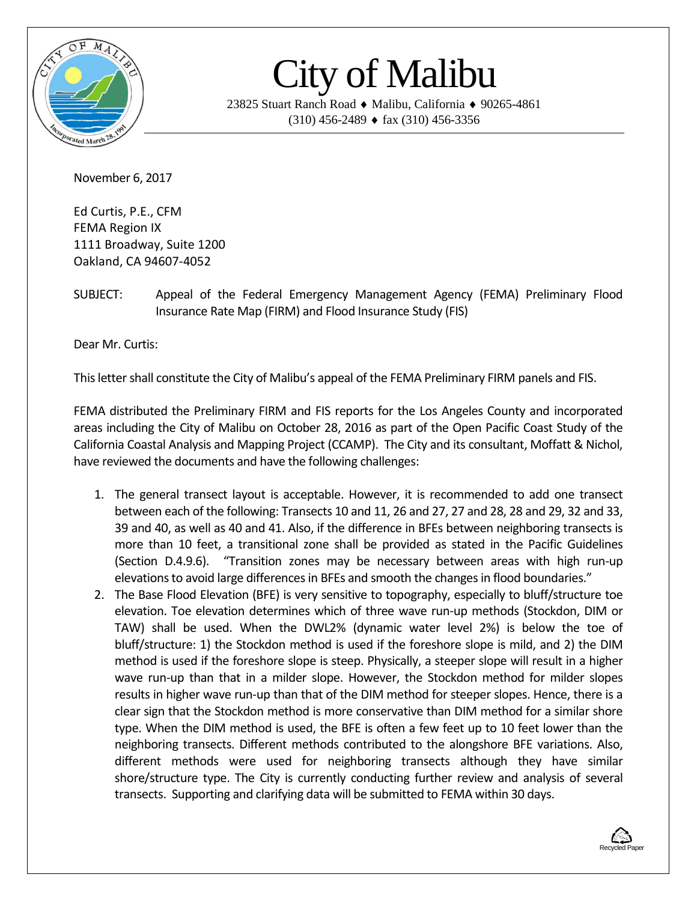

## City of Malibu

23825 Stuart Ranch Road ♦ Malibu, California ♦ 90265-4861  $(310)$  456-2489  $\bullet$  fax  $(310)$  456-3356

November 6, 2017

Ed Curtis, P.E., CFM FEMA Region IX 1111 Broadway, Suite 1200 Oakland, CA 94607-4052

SUBJECT: Appeal of the Federal Emergency Management Agency (FEMA) Preliminary Flood Insurance Rate Map (FIRM) and Flood Insurance Study (FIS)

Dear Mr. Curtis:

This letter shall constitute the City of Malibu's appeal of the FEMA Preliminary FIRM panels and FIS.

FEMA distributed the Preliminary FIRM and FIS reports for the Los Angeles County and incorporated areas including the City of Malibu on October 28, 2016 as part of the Open Pacific Coast Study of the California Coastal Analysis and Mapping Project (CCAMP). The City and its consultant, Moffatt & Nichol, have reviewed the documents and have the following challenges:

- 1. The general transect layout is acceptable. However, it is recommended to add one transect between each of the following: Transects 10 and 11, 26 and 27, 27 and 28, 28 and 29, 32 and 33, 39 and 40, as well as 40 and 41. Also, if the difference in BFEs between neighboring transects is more than 10 feet, a transitional zone shall be provided as stated in the Pacific Guidelines (Section D.4.9.6). "Transition zones may be necessary between areas with high run-up elevations to avoid large differences in BFEs and smooth the changes in flood boundaries."
- 2. The Base Flood Elevation (BFE) is very sensitive to topography, especially to bluff/structure toe elevation. Toe elevation determines which of three wave run-up methods (Stockdon, DIM or TAW) shall be used. When the DWL2% (dynamic water level 2%) is below the toe of bluff/structure: 1) the Stockdon method is used if the foreshore slope is mild, and 2) the DIM method is used if the foreshore slope is steep. Physically, a steeper slope will result in a higher wave run-up than that in a milder slope. However, the Stockdon method for milder slopes results in higher wave run-up than that of the DIM method for steeper slopes. Hence, there is a clear sign that the Stockdon method is more conservative than DIM method for a similar shore type. When the DIM method is used, the BFE is often a few feet up to 10 feet lower than the neighboring transects. Different methods contributed to the alongshore BFE variations. Also, different methods were used for neighboring transects although they have similar shore/structure type. The City is currently conducting further review and analysis of several transects. Supporting and clarifying data will be submitted to FEMA within 30 days.

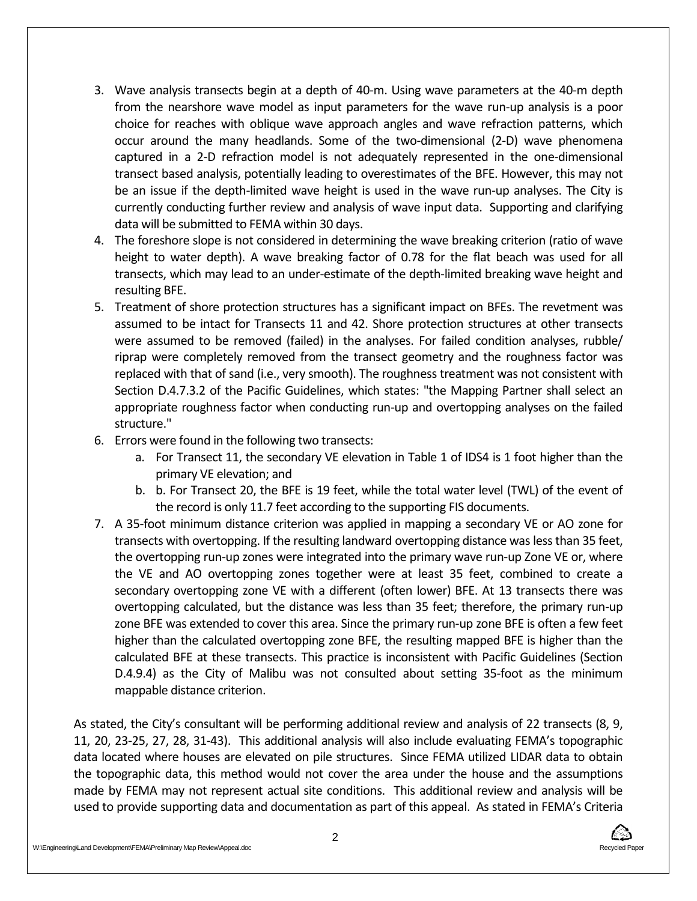- 3. Wave analysis transects begin at a depth of 40-m. Using wave parameters at the 40-m depth from the nearshore wave model as input parameters for the wave run-up analysis is a poor choice for reaches with oblique wave approach angles and wave refraction patterns, which occur around the many headlands. Some of the two-dimensional (2-D) wave phenomena captured in a 2-D refraction model is not adequately represented in the one-dimensional transect based analysis, potentially leading to overestimates of the BFE. However, this may not be an issue if the depth-limited wave height is used in the wave run-up analyses. The City is currently conducting further review and analysis of wave input data. Supporting and clarifying data will be submitted to FEMA within 30 days.
- 4. The foreshore slope is not considered in determining the wave breaking criterion (ratio of wave height to water depth). A wave breaking factor of 0.78 for the flat beach was used for all transects, which may lead to an under-estimate of the depth-limited breaking wave height and resulting BFE.
- 5. Treatment of shore protection structures has a significant impact on BFEs. The revetment was assumed to be intact for Transects 11 and 42. Shore protection structures at other transects were assumed to be removed (failed) in the analyses. For failed condition analyses, rubble/ riprap were completely removed from the transect geometry and the roughness factor was replaced with that of sand (i.e., very smooth). The roughness treatment was not consistent with Section D.4.7.3.2 of the Pacific Guidelines, which states: "the Mapping Partner shall select an appropriate roughness factor when conducting run-up and overtopping analyses on the failed structure."
- 6. Errors were found in the following two transects:
	- a. For Transect 11, the secondary VE elevation in Table 1 of IDS4 is 1 foot higher than the primary VE elevation; and
	- b. b. For Transect 20, the BFE is 19 feet, while the total water level (TWL) of the event of the record is only 11.7 feet according to the supporting FIS documents.
- 7. A 35-foot minimum distance criterion was applied in mapping a secondary VE or AO zone for transects with overtopping. If the resulting landward overtopping distance was less than 35 feet, the overtopping run-up zones were integrated into the primary wave run-up Zone VE or, where the VE and AO overtopping zones together were at least 35 feet, combined to create a secondary overtopping zone VE with a different (often lower) BFE. At 13 transects there was overtopping calculated, but the distance was less than 35 feet; therefore, the primary run-up zone BFE was extended to cover this area. Since the primary run-up zone BFE is often a few feet higher than the calculated overtopping zone BFE, the resulting mapped BFE is higher than the calculated BFE at these transects. This practice is inconsistent with Pacific Guidelines (Section D.4.9.4) as the City of Malibu was not consulted about setting 35-foot as the minimum mappable distance criterion.

As stated, the City's consultant will be performing additional review and analysis of 22 transects (8, 9, 11, 20, 23-25, 27, 28, 31-43). This additional analysis will also include evaluating FEMA's topographic data located where houses are elevated on pile structures. Since FEMA utilized LIDAR data to obtain the topographic data, this method would not cover the area under the house and the assumptions made by FEMA may not represent actual site conditions. This additional review and analysis will be used to provide supporting data and documentation as part of this appeal. As stated in FEMA's Criteria